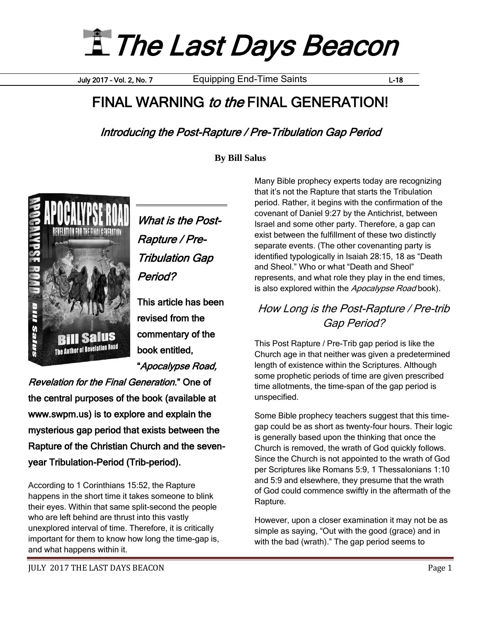**E** The Last Days Beacon

July 2017 – Vol. 2, No. 7 Equipping End-Time Saints L-18

# FINAL WARNING to the FINAL GENERATION!

Introducing the Post-Rapture / Pre-Tribulation Gap Period

**By Bill Salus**



What is the Post-Rapture / Pre-Tribulation Gap Period?

This article has been revised from the commentary of the book entitled,

"Apocalypse Road,

Revelation for the Final Generation." One of the central purposes of the book (available at www.swpm.us) is to explore and explain the mysterious gap period that exists between the Rapture of the Christian Church and the sevenyear Tribulation-Period (Trib-period).

According to 1 Corinthians 15:52, the Rapture happens in the short time it takes someone to blink their eyes. Within that same split-second the people who are left behind are thrust into this vastly unexplored interval of time. Therefore, it is critically important for them to know how long the time-gap is, and what happens within it.

Many Bible prophecy experts today are recognizing that it's not the Rapture that starts the Tribulation period. Rather, it begins with the confirmation of the covenant of Daniel 9:27 by the Antichrist, between Israel and some other party. Therefore, a gap can exist between the fulfillment of these two distinctly separate events. (The other covenanting party is identified typologically in Isaiah 28:15, 18 as "Death and Sheol." Who or what "Death and Sheol" represents, and what role they play in the end times, is also explored within the Apocalypse Road book).

#### How Long is the Post-Rapture / Pre-trib Gap Period?

This Post Rapture / Pre-Trib gap period is like the Church age in that neither was given a predetermined length of existence within the Scriptures. Although some prophetic periods of time are given prescribed time allotments, the time-span of the gap period is unspecified.

Some Bible prophecy teachers suggest that this timegap could be as short as twenty-four hours. Their logic is generally based upon the thinking that once the Church is removed, the wrath of God quickly follows. Since the Church is not appointed to the wrath of God per Scriptures like Romans 5:9, 1 Thessalonians 1:10 and 5:9 and elsewhere, they presume that the wrath of God could commence swiftly in the aftermath of the Rapture.

However, upon a closer examination it may not be as simple as saying, "Out with the good (grace) and in with the bad (wrath)." The gap period seems to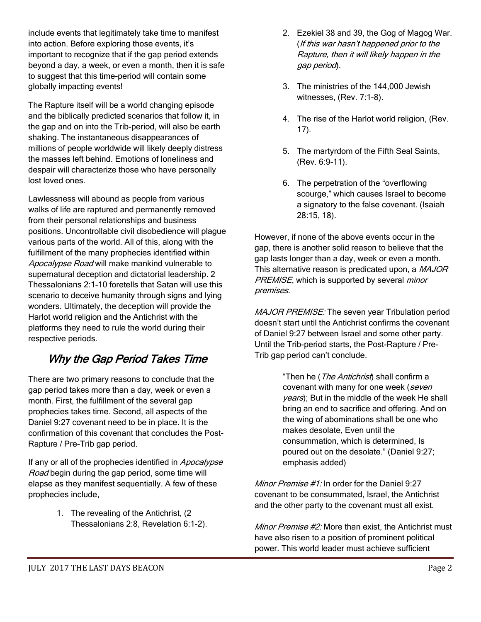include events that legitimately take time to manifest into action. Before exploring those events, it's important to recognize that if the gap period extends beyond a day, a week, or even a month, then it is safe to suggest that this time-period will contain some globally impacting events!

The Rapture itself will be a world changing episode and the biblically predicted scenarios that follow it, in the gap and on into the Trib-period, will also be earth shaking. The instantaneous disappearances of millions of people worldwide will likely deeply distress the masses left behind. Emotions of loneliness and despair will characterize those who have personally lost loved ones.

Lawlessness will abound as people from various walks of life are raptured and permanently removed from their personal relationships and business positions. Uncontrollable civil disobedience will plague various parts of the world. All of this, along with the fulfillment of the many prophecies identified within Apocalypse Road will make mankind vulnerable to supernatural deception and dictatorial leadership. 2 Thessalonians 2:1-10 foretells that Satan will use this scenario to deceive humanity through signs and lying wonders. Ultimately, the deception will provide the Harlot world religion and the Antichrist with the platforms they need to rule the world during their respective periods.

### Why the Gap Period Takes Time

There are two primary reasons to conclude that the gap period takes more than a day, week or even a month. First, the fulfillment of the several gap prophecies takes time. Second, all aspects of the Daniel 9:27 covenant need to be in place. It is the confirmation of this covenant that concludes the Post-Rapture / Pre-Trib gap period.

If any or all of the prophecies identified in Apocalypse Road begin during the gap period, some time will elapse as they manifest sequentially. A few of these prophecies include,

> 1. The revealing of the Antichrist, (2 Thessalonians 2:8, Revelation 6:1-2).

- 2. Ezekiel 38 and 39, the Gog of Magog War. (If this war hasn't happened prior to the Rapture, then it will likely happen in the gap period).
- 3. The ministries of the 144,000 Jewish witnesses, (Rev. 7:1-8).
- 4. The rise of the Harlot world religion, (Rev. 17).
- 5. The martyrdom of the Fifth Seal Saints, (Rev. 6:9-11).
- 6. The perpetration of the "overflowing scourge," which causes Israel to become a signatory to the false covenant. (Isaiah 28:15, 18).

However, if none of the above events occur in the gap, there is another solid reason to believe that the gap lasts longer than a day, week or even a month. This alternative reason is predicated upon, a MAJOR PREMISE, which is supported by several *minor* premises.

MAJOR PREMISE: The seven year Tribulation period doesn't start until the Antichrist confirms the covenant of Daniel 9:27 between Israel and some other party. Until the Trib-period starts, the Post-Rapture / Pre-Trib gap period can't conclude.

> "Then he (*The Antichrist*) shall confirm a covenant with many for one week (seven years); But in the middle of the week He shall bring an end to sacrifice and offering. And on the wing of abominations shall be one who makes desolate, Even until the consummation, which is determined, Is poured out on the desolate." (Daniel 9:27; emphasis added)

Minor Premise #1: In order for the Daniel 9:27 covenant to be consummated, Israel, the Antichrist and the other party to the covenant must all exist.

Minor Premise #2: More than exist, the Antichrist must have also risen to a position of prominent political power. This world leader must achieve sufficient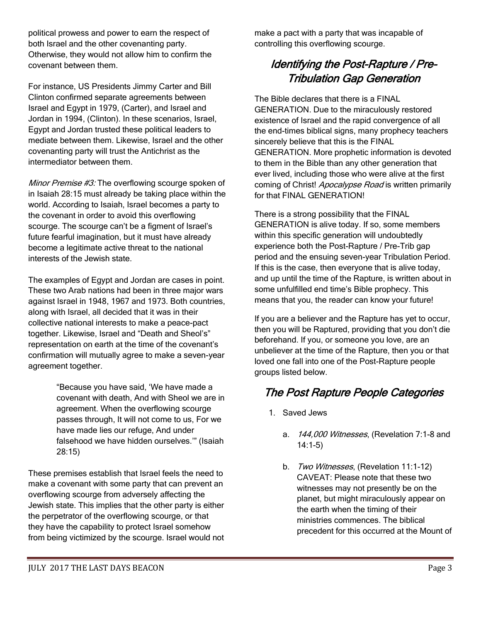political prowess and power to earn the respect of both Israel and the other covenanting party. Otherwise, they would not allow him to confirm the covenant between them.

For instance, US Presidents Jimmy Carter and Bill Clinton confirmed separate agreements between Israel and Egypt in 1979, (Carter), and Israel and Jordan in 1994, (Clinton). In these scenarios, Israel, Egypt and Jordan trusted these political leaders to mediate between them. Likewise, Israel and the other covenanting party will trust the Antichrist as the intermediator between them.

Minor Premise #3: The overflowing scourge spoken of in Isaiah 28:15 must already be taking place within the world. According to Isaiah, Israel becomes a party to the covenant in order to avoid this overflowing scourge. The scourge can't be a figment of Israel's future fearful imagination, but it must have already become a legitimate active threat to the national interests of the Jewish state.

The examples of Egypt and Jordan are cases in point. These two Arab nations had been in three major wars against Israel in 1948, 1967 and 1973. Both countries, along with Israel, all decided that it was in their collective national interests to make a peace-pact together. Likewise, Israel and "Death and Sheol's" representation on earth at the time of the covenant's confirmation will mutually agree to make a seven-year agreement together.

> "Because you have said, 'We have made a covenant with death, And with Sheol we are in agreement. When the overflowing scourge passes through, It will not come to us, For we have made lies our refuge, And under falsehood we have hidden ourselves.'" (Isaiah 28:15)

These premises establish that Israel feels the need to make a covenant with some party that can prevent an overflowing scourge from adversely affecting the Jewish state. This implies that the other party is either the perpetrator of the overflowing scourge, or that they have the capability to protect Israel somehow from being victimized by the scourge. Israel would not make a pact with a party that was incapable of controlling this overflowing scourge.

## Identifying the Post-Rapture / Pre-Tribulation Gap Generation

The Bible declares that there is a FINAL GENERATION. Due to the miraculously restored existence of Israel and the rapid convergence of all the end-times biblical signs, many prophecy teachers sincerely believe that this is the FINAL GENERATION. More prophetic information is devoted to them in the Bible than any other generation that ever lived, including those who were alive at the first coming of Christ! Apocalypse Road is written primarily for that FINAL GENERATION!

There is a strong possibility that the FINAL GENERATION is alive today. If so, some members within this specific generation will undoubtedly experience both the Post-Rapture / Pre-Trib gap period and the ensuing seven-year Tribulation Period. If this is the case, then everyone that is alive today, and up until the time of the Rapture, is written about in some unfulfilled end time's Bible prophecy. This means that you, the reader can know your future!

If you are a believer and the Rapture has yet to occur, then you will be Raptured, providing that you don't die beforehand. If you, or someone you love, are an unbeliever at the time of the Rapture, then you or that loved one fall into one of the Post-Rapture people groups listed below.

### The Post Rapture People Categories

- 1. Saved Jews
	- a. 144,000 Witnesses, (Revelation 7:1-8 and 14:1-5)
	- b. Two Witnesses, (Revelation 11:1-12) CAVEAT: Please note that these two witnesses may not presently be on the planet, but might miraculously appear on the earth when the timing of their ministries commences. The biblical precedent for this occurred at the Mount of